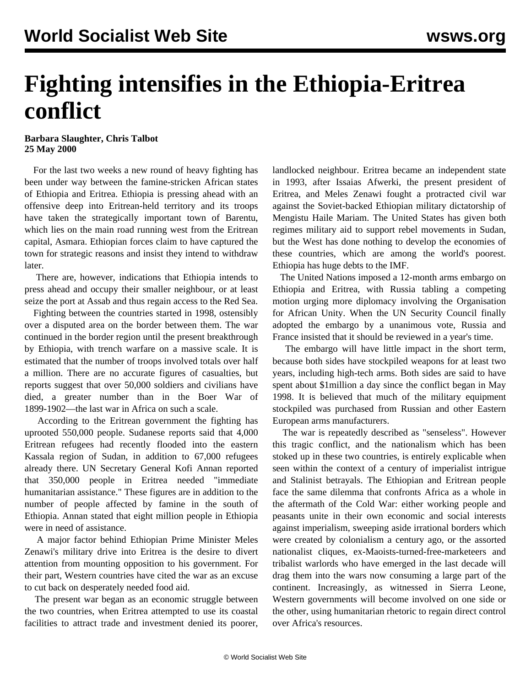## **Fighting intensifies in the Ethiopia-Eritrea conflict**

## **Barbara Slaughter, Chris Talbot 25 May 2000**

 For the last two weeks a new round of heavy fighting has been under way between the famine-stricken African states of Ethiopia and Eritrea. Ethiopia is pressing ahead with an offensive deep into Eritrean-held territory and its troops have taken the strategically important town of Barentu, which lies on the main road running west from the Eritrean capital, Asmara. Ethiopian forces claim to have captured the town for strategic reasons and insist they intend to withdraw later.

 There are, however, indications that Ethiopia intends to press ahead and occupy their smaller neighbour, or at least seize the port at Assab and thus regain access to the Red Sea.

 Fighting between the countries started in 1998, ostensibly over a disputed area on the border between them. The war continued in the border region until the present breakthrough by Ethiopia, with trench warfare on a massive scale. It is estimated that the number of troops involved totals over half a million. There are no accurate figures of casualties, but reports suggest that over 50,000 soldiers and civilians have died, a greater number than in the Boer War of 1899-1902—the last war in Africa on such a scale.

 According to the Eritrean government the fighting has uprooted 550,000 people. Sudanese reports said that 4,000 Eritrean refugees had recently flooded into the eastern Kassala region of Sudan, in addition to 67,000 refugees already there. UN Secretary General Kofi Annan reported that 350,000 people in Eritrea needed "immediate humanitarian assistance." These figures are in addition to the number of people affected by famine in the south of Ethiopia. Annan stated that eight million people in Ethiopia were in need of assistance.

 A major factor behind Ethiopian Prime Minister Meles Zenawi's military drive into Eritrea is the desire to divert attention from mounting opposition to his government. For their part, Western countries have cited the war as an excuse to cut back on desperately needed food aid.

 The present war began as an economic struggle between the two countries, when Eritrea attempted to use its coastal facilities to attract trade and investment denied its poorer, landlocked neighbour. Eritrea became an independent state in 1993, after Issaias Afwerki, the present president of Eritrea, and Meles Zenawi fought a protracted civil war against the Soviet-backed Ethiopian military dictatorship of Mengistu Haile Mariam. The United States has given both regimes military aid to support rebel movements in Sudan, but the West has done nothing to develop the economies of these countries, which are among the world's poorest. Ethiopia has huge debts to the IMF.

 The United Nations imposed a 12-month arms embargo on Ethiopia and Eritrea, with Russia tabling a competing motion urging more diplomacy involving the Organisation for African Unity. When the UN Security Council finally adopted the embargo by a unanimous vote, Russia and France insisted that it should be reviewed in a year's time.

 The embargo will have little impact in the short term, because both sides have stockpiled weapons for at least two years, including high-tech arms. Both sides are said to have spent about \$1million a day since the conflict began in May 1998. It is believed that much of the military equipment stockpiled was purchased from Russian and other Eastern European arms manufacturers.

 The war is repeatedly described as "senseless". However this tragic conflict, and the nationalism which has been stoked up in these two countries, is entirely explicable when seen within the context of a century of imperialist intrigue and Stalinist betrayals. The Ethiopian and Eritrean people face the same dilemma that confronts Africa as a whole in the aftermath of the Cold War: either working people and peasants unite in their own economic and social interests against imperialism, sweeping aside irrational borders which were created by colonialism a century ago, or the assorted nationalist cliques, ex-Maoists-turned-free-marketeers and tribalist warlords who have emerged in the last decade will drag them into the wars now consuming a large part of the continent. Increasingly, as witnessed in Sierra Leone, Western governments will become involved on one side or the other, using humanitarian rhetoric to regain direct control over Africa's resources.